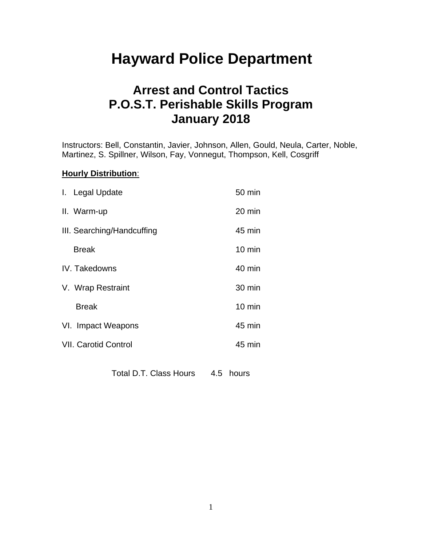# **Hayward Police Department**

## **Arrest and Control Tactics P.O.S.T. Perishable Skills Program January 2018**

Instructors: Bell, Constantin, Javier, Johnson, Allen, Gould, Neula, Carter, Noble, Martinez, S. Spillner, Wilson, Fay, Vonnegut, Thompson, Kell, Cosgriff

#### **Hourly Distribution**:

| $20 \text{ min}$<br>II. Warm-up       |  |
|---------------------------------------|--|
|                                       |  |
| 45 min<br>III. Searching/Handcuffing  |  |
| $10 \text{ min}$<br><b>Break</b>      |  |
| 40 min<br>IV. Takedowns               |  |
| 30 min<br>V. Wrap Restraint           |  |
| $10 \text{ min}$<br><b>Break</b>      |  |
| 45 min<br>VI. Impact Weapons          |  |
| <b>VII. Carotid Control</b><br>45 min |  |

Total D.T. Class Hours 4.5 hours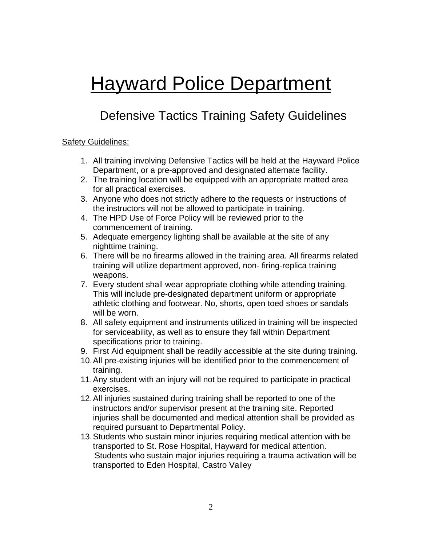# **Hayward Police Department**

# Defensive Tactics Training Safety Guidelines

#### Safety Guidelines:

- 1. All training involving Defensive Tactics will be held at the Hayward Police Department, or a pre-approved and designated alternate facility.
- 2. The training location will be equipped with an appropriate matted area for all practical exercises.
- 3. Anyone who does not strictly adhere to the requests or instructions of the instructors will not be allowed to participate in training.
- 4. The HPD Use of Force Policy will be reviewed prior to the commencement of training.
- 5. Adequate emergency lighting shall be available at the site of any nighttime training.
- 6. There will be no firearms allowed in the training area. All firearms related training will utilize department approved, non- firing-replica training weapons.
- 7. Every student shall wear appropriate clothing while attending training. This will include pre-designated department uniform or appropriate athletic clothing and footwear. No, shorts, open toed shoes or sandals will be worn.
- 8. All safety equipment and instruments utilized in training will be inspected for serviceability, as well as to ensure they fall within Department specifications prior to training.
- 9. First Aid equipment shall be readily accessible at the site during training.
- 10.All pre-existing injuries will be identified prior to the commencement of training.
- 11.Any student with an injury will not be required to participate in practical exercises.
- 12.All injuries sustained during training shall be reported to one of the instructors and/or supervisor present at the training site. Reported injuries shall be documented and medical attention shall be provided as required pursuant to Departmental Policy.
- 13.Students who sustain minor injuries requiring medical attention with be transported to St. Rose Hospital, Hayward for medical attention. Students who sustain major injuries requiring a trauma activation will be transported to Eden Hospital, Castro Valley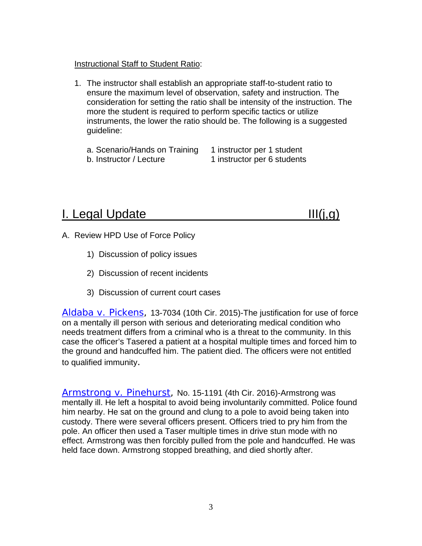#### Instructional Staff to Student Ratio:

- 1. The instructor shall establish an appropriate staff-to-student ratio to ensure the maximum level of observation, safety and instruction. The consideration for setting the ratio shall be intensity of the instruction. The more the student is required to perform specific tactics or utilize instruments, the lower the ratio should be. The following is a suggested guideline:
	- a. Scenario/Hands on Training 1 instructor per 1 student b. Instructor / Lecture 1 instructor per 6 students

## I. Legal Update III(j,g)

- A. Review HPD Use of Force Policy
	- 1) Discussion of policy issues
	- 2) Discussion of recent incidents
	- 3) Discussion of current court cases

[Aldaba v. Pickens,](http://caselaw4cops.net/cases_new/aldaba_v_pickens_13_7034_10cir_2015.html) 13-7034 (10th Cir. 2015)-The justification for use of force on a mentally ill person with serious and deteriorating medical condition who needs treatment differs from a criminal who is a threat to the community. In this case the officer's Tasered a patient at a hospital multiple times and forced him to the ground and handcuffed him. The patient died. The officers were not entitled to qualified immunity.

[Armstrong v. Pinehurst,](http://caselaw4cops.net/cases_new/armstrong_v_pinehurst_15_1191_4cir_2016.html) No. 15-1191 (4th Cir. 2016)-Armstrong was mentally ill. He left a hospital to avoid being involuntarily committed. Police found him nearby. He sat on the ground and clung to a pole to avoid being taken into custody. There were several officers present. Officers tried to pry him from the pole. An officer then used a Taser multiple times in drive stun mode with no effect. Armstrong was then forcibly pulled from the pole and handcuffed. He was held face down. Armstrong stopped breathing, and died shortly after.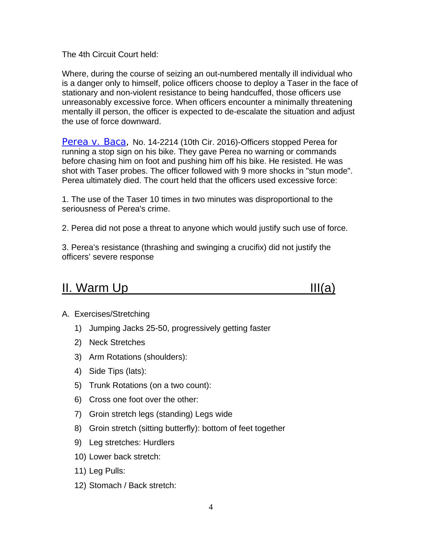The 4th Circuit Court held:

Where, during the course of seizing an out-numbered mentally ill individual who is a danger only to himself, police officers choose to deploy a Taser in the face of stationary and non-violent resistance to being handcuffed, those officers use unreasonably excessive force. When officers encounter a minimally threatening mentally ill person, the officer is expected to de-escalate the situation and adjust the use of force downward.

[Perea v. Baca,](http://caselaw4cops.net/cases_new/perea_v_baca_14_2214_10cir_2016.html) No. 14-2214 (10th Cir. 2016)-Officers stopped Perea for running a stop sign on his bike. They gave Perea no warning or commands before chasing him on foot and pushing him off his bike. He resisted. He was shot with Taser probes. The officer followed with 9 more shocks in "stun mode". Perea ultimately died. The court held that the officers used excessive force:

1. The use of the Taser 10 times in two minutes was disproportional to the seriousness of Perea's crime.

2. Perea did not pose a threat to anyone which would justify such use of force.

3. Perea's resistance (thrashing and swinging a crucifix) did not justify the officers' severe response

## $II.  $Warm \cup p$$



#### A. Exercises/Stretching

- 1) Jumping Jacks 25-50, progressively getting faster
- 2) Neck Stretches
- 3) Arm Rotations (shoulders):
- 4) Side Tips (lats):
- 5) Trunk Rotations (on a two count):
- 6) Cross one foot over the other:
- 7) Groin stretch legs (standing) Legs wide
- 8) Groin stretch (sitting butterfly): bottom of feet together
- 9) Leg stretches: Hurdlers
- 10) Lower back stretch:
- 11) Leg Pulls:
- 12) Stomach / Back stretch: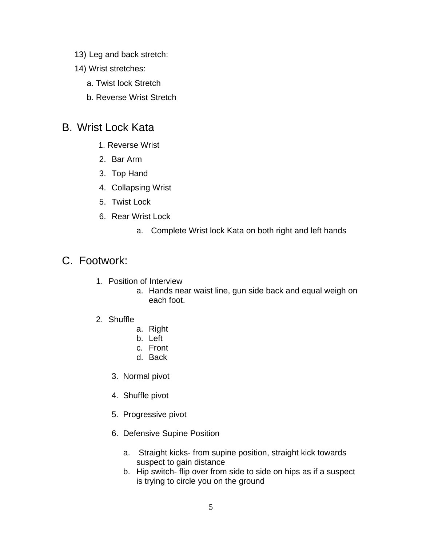- 13) Leg and back stretch:
- 14) Wrist stretches:
	- a. Twist lock Stretch
	- b. Reverse Wrist Stretch

## B. Wrist Lock Kata

- 1. Reverse Wrist
- 2. Bar Arm
- 3. Top Hand
- 4. Collapsing Wrist
- 5. Twist Lock
- 6. Rear Wrist Lock
	- a. Complete Wrist lock Kata on both right and left hands

## C. Footwork:

- 1. Position of Interview
	- a. Hands near waist line, gun side back and equal weigh on each foot.
- 2. Shuffle
	- a. Right
	- b. Left
	- c. Front
	- d. Back
	- 3. Normal pivot
	- 4. Shuffle pivot
	- 5. Progressive pivot
	- 6. Defensive Supine Position
		- a. Straight kicks- from supine position, straight kick towards suspect to gain distance
		- b. Hip switch- flip over from side to side on hips as if a suspect is trying to circle you on the ground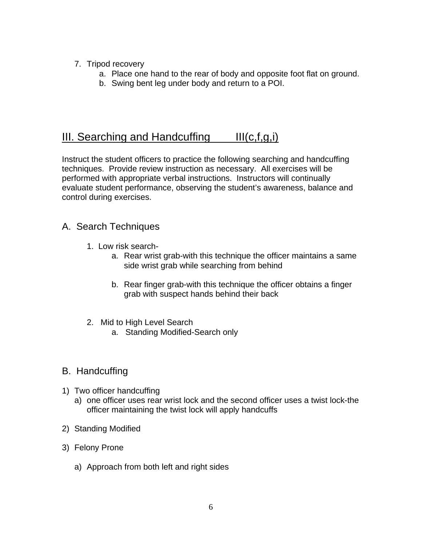- 7. Tripod recovery
	- a. Place one hand to the rear of body and opposite foot flat on ground.
	- b. Swing bent leg under body and return to a POI.

## III. Searching and Handcuffing  $III(c,f,g,i)$

Instruct the student officers to practice the following searching and handcuffing techniques. Provide review instruction as necessary. All exercises will be performed with appropriate verbal instructions. Instructors will continually evaluate student performance, observing the student's awareness, balance and control during exercises.

#### A. Search Techniques

- 1. Low risk search
	- a. Rear wrist grab-with this technique the officer maintains a same side wrist grab while searching from behind
	- b. Rear finger grab-with this technique the officer obtains a finger grab with suspect hands behind their back
- 2. Mid to High Level Search
	- a. Standing Modified-Search only

### B. Handcuffing

- 1) Two officer handcuffing
	- a) one officer uses rear wrist lock and the second officer uses a twist lock-the officer maintaining the twist lock will apply handcuffs
- 2) Standing Modified
- 3) Felony Prone
	- a) Approach from both left and right sides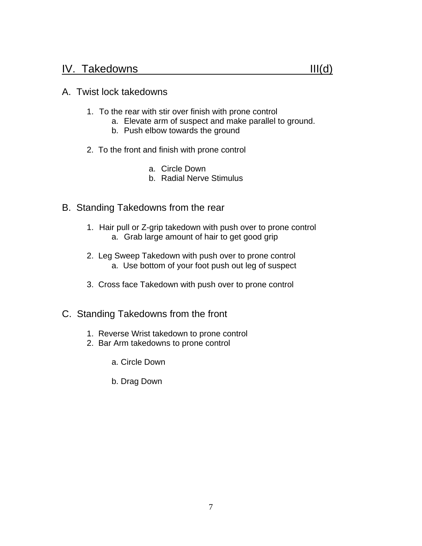### IV. Takedowns III(d)

#### A. Twist lock takedowns

- 1. To the rear with stir over finish with prone control
	- a. Elevate arm of suspect and make parallel to ground.
	- b. Push elbow towards the ground
- 2. To the front and finish with prone control
	- a. Circle Down
	- b. Radial Nerve Stimulus
- B. Standing Takedowns from the rear
	- 1. Hair pull or Z-grip takedown with push over to prone control a. Grab large amount of hair to get good grip
	- 2. Leg Sweep Takedown with push over to prone control a. Use bottom of your foot push out leg of suspect
	- 3. Cross face Takedown with push over to prone control
- C. Standing Takedowns from the front
	- 1. Reverse Wrist takedown to prone control
	- 2. Bar Arm takedowns to prone control
		- a. Circle Down
		- b. Drag Down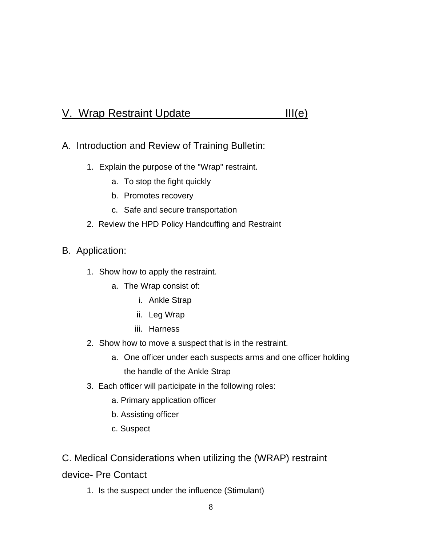## V. Wrap Restraint Update III(e)

- A. Introduction and Review of Training Bulletin:
	- 1. Explain the purpose of the "Wrap" restraint.
		- a. To stop the fight quickly
		- b. Promotes recovery
		- c. Safe and secure transportation

#### 2. Review the HPD Policy Handcuffing and Restraint

- B. Application:
	- 1. Show how to apply the restraint.
		- a. The Wrap consist of:
			- i. Ankle Strap
			- ii. Leg Wrap
			- iii. Harness
	- 2. Show how to move a suspect that is in the restraint.
		- a. One officer under each suspects arms and one officer holding the handle of the Ankle Strap
	- 3. Each officer will participate in the following roles:
		- a. Primary application officer
		- b. Assisting officer
		- c. Suspect

#### C. Medical Considerations when utilizing the (WRAP) restraint

#### device- Pre Contact

1. Is the suspect under the influence (Stimulant)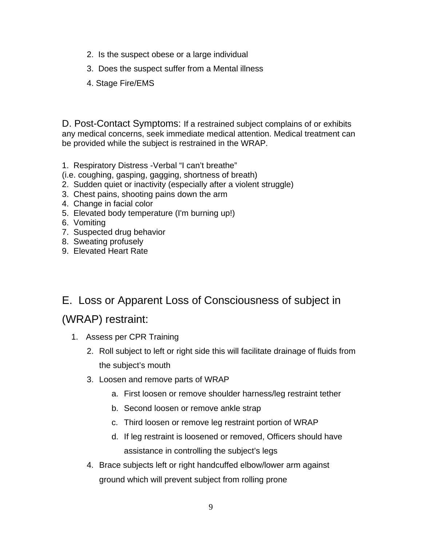- 2. Is the suspect obese or a large individual
- 3. Does the suspect suffer from a Mental illness
- 4. Stage Fire/EMS

D. Post-Contact Symptoms: If a restrained subject complains of or exhibits any medical concerns, seek immediate medical attention. Medical treatment can be provided while the subject is restrained in the WRAP.

- 1. Respiratory Distress -Verbal "I can't breathe"
- (i.e. coughing, gasping, gagging, shortness of breath)
- 2. Sudden quiet or inactivity (especially after a violent struggle)
- 3. Chest pains, shooting pains down the arm
- 4. Change in facial color
- 5. Elevated body temperature (I'm burning up!)
- 6. Vomiting
- 7. Suspected drug behavior
- 8. Sweating profusely
- 9. Elevated Heart Rate

## E. Loss or Apparent Loss of Consciousness of subject in

## (WRAP) restraint:

- 1. Assess per CPR Training
	- 2. Roll subject to left or right side this will facilitate drainage of fluids from the subject's mouth
	- 3. Loosen and remove parts of WRAP
		- a. First loosen or remove shoulder harness/leg restraint tether
		- b. Second loosen or remove ankle strap
		- c. Third loosen or remove leg restraint portion of WRAP
		- d. If leg restraint is loosened or removed, Officers should have assistance in controlling the subject's legs
	- 4. Brace subjects left or right handcuffed elbow/lower arm against ground which will prevent subject from rolling prone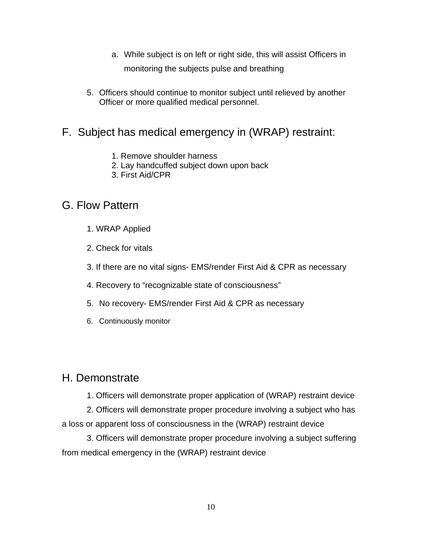- a. While subject is on left or right side, this will assist Officers in monitoring the subjects pulse and breathing
- 5. Officers should continue to monitor subject until relieved by another Officer or more qualified medical personnel.

## F. Subject has medical emergency in (WRAP) restraint:

- 1. Remove shoulder harness
- 2. Lay handcuffed subject down upon back
- 3. First Aid/CPR

## G. Flow Pattern

- 1. WRAP Applied
- 2. Check for vitals
- 3. If there are no vital signs- EMS/render First Aid & CPR as necessary
- 4. Recovery to "recognizable state of consciousness"
- 5. No recovery- EMS/render First Aid & CPR as necessary
- 6. Continuously monitor

## H. Demonstrate

1. Officers will demonstrate proper application of (WRAP) restraint device

2. Officers will demonstrate proper procedure involving a subject who has a loss or apparent loss of consciousness in the (WRAP) restraint device

3. Officers will demonstrate proper procedure involving a subject suffering from medical emergency in the (WRAP) restraint device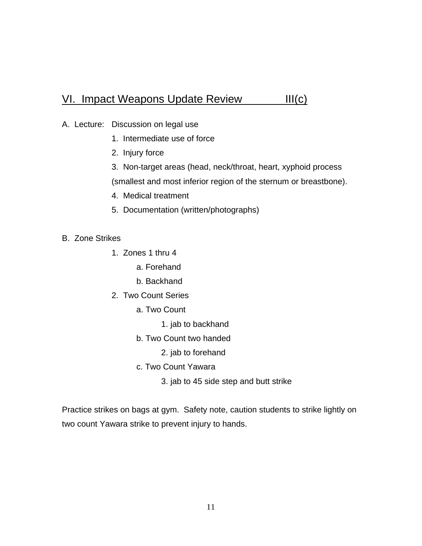## VI. Impact Weapons Update Review III(c)

- A. Lecture: Discussion on legal use
	- 1. Intermediate use of force
	- 2. Injury force
	- 3. Non-target areas (head, neck/throat, heart, xyphoid process (smallest and most inferior region of the sternum or breastbone).
	- 4. Medical treatment
	- 5. Documentation (written/photographs)

#### B. Zone Strikes

- 1. Zones 1 thru 4
	- a. Forehand
	- b. Backhand
- 2. Two Count Series
	- a. Two Count
		- 1. jab to backhand
	- b. Two Count two handed
		- 2. jab to forehand
	- c. Two Count Yawara
		- 3. jab to 45 side step and butt strike

Practice strikes on bags at gym. Safety note, caution students to strike lightly on two count Yawara strike to prevent injury to hands.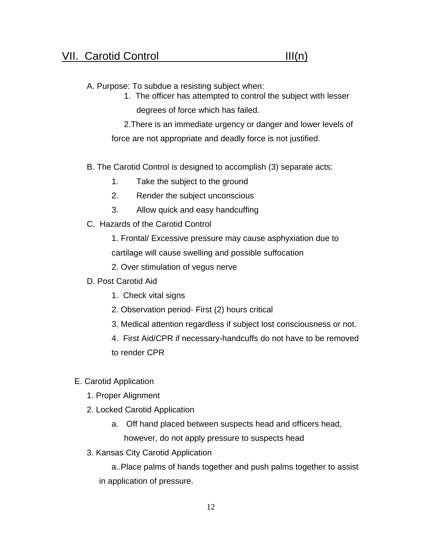#### A. Purpose: To subdue a resisting subject when:

1. The officer has attempted to control the subject with lesser degrees of force which has failed.

2.There is an immediate urgency or danger and lower levels of force are not appropriate and deadly force is not justified.

- B. The Carotid Control is designed to accomplish (3) separate acts:
	- 1. Take the subject to the ground
	- 2. Render the subject unconscious
	- 3. Allow quick and easy handcuffing
- C. Hazards of the Carotid Control
	- 1. Frontal/ Excessive pressure may cause asphyxiation due to cartilage will cause swelling and possible suffocation
	- 2. Over stimulation of vegus nerve
- D. Post Carotid Aid
	- 1. Check vital signs
	- 2. Observation period- First (2) hours critical
	- 3. Medical attention regardless if subject lost consciousness or not.
	- 4. First Aid/CPR if necessary-handcuffs do not have to be removed
	- to render CPR
- E. Carotid Application
	- 1. Proper Alignment
	- 2. Locked Carotid Application
		- a. Off hand placed between suspects head and officers head, however, do not apply pressure to suspects head
	- 3. Kansas City Carotid Application

a..Place palms of hands together and push palms together to assist in application of pressure.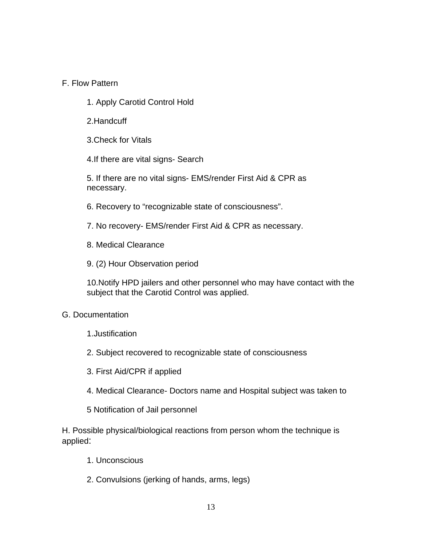#### F. Flow Pattern

- 1. Apply Carotid Control Hold
- 2.Handcuff
- 3.Check for Vitals
- 4.If there are vital signs- Search

5. If there are no vital signs- EMS/render First Aid & CPR as necessary.

- 6. Recovery to "recognizable state of consciousness".
- 7. No recovery- EMS/render First Aid & CPR as necessary.
- 8. Medical Clearance
- 9. (2) Hour Observation period

10.Notify HPD jailers and other personnel who may have contact with the subject that the Carotid Control was applied.

#### G. Documentation

- 1.Justification
- 2. Subject recovered to recognizable state of consciousness
- 3. First Aid/CPR if applied
- 4. Medical Clearance- Doctors name and Hospital subject was taken to
- 5 Notification of Jail personnel

H. Possible physical/biological reactions from person whom the technique is applied:

- 1. Unconscious
- 2. Convulsions (jerking of hands, arms, legs)